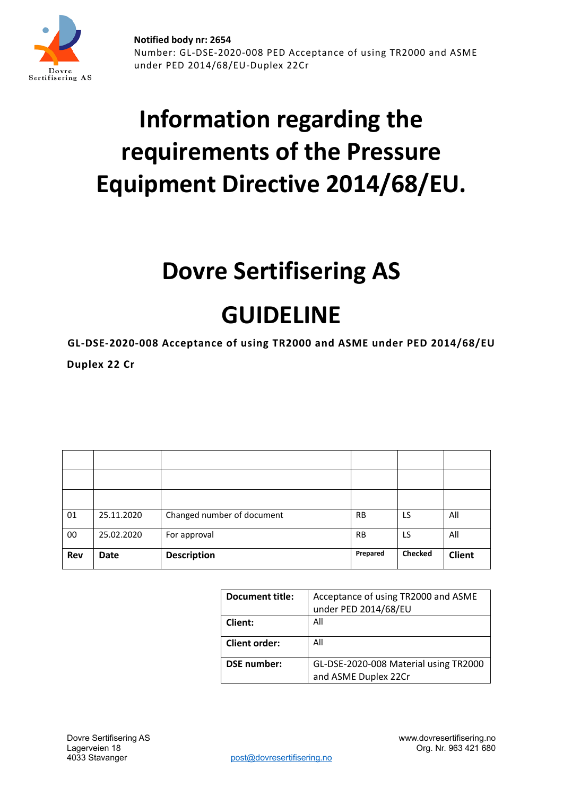

# **Information regarding the requirements of the Pressure Equipment Directive 2014/68/EU.**

## **Dovre Sertifisering AS**

## **GUIDELINE**

**GL-DSE-2020-008 Acceptance of using TR2000 and ASME under PED 2014/68/EU**

**Duplex 22 Cr**

| 01         | 25.11.2020  | Changed number of document | <b>RB</b> | LS             | All           |
|------------|-------------|----------------------------|-----------|----------------|---------------|
| 00         | 25.02.2020  | For approval               | <b>RB</b> | LS             | All           |
| <b>Rev</b> | <b>Date</b> | <b>Description</b>         | Prepared  | <b>Checked</b> | <b>Client</b> |

| <b>Document title:</b> | Acceptance of using TR2000 and ASME   |  |
|------------------------|---------------------------------------|--|
|                        | under PED 2014/68/EU                  |  |
| Client:                | All                                   |  |
| <b>Client order:</b>   | All                                   |  |
| <b>DSE</b> number:     | GL-DSE-2020-008 Material using TR2000 |  |
|                        | and ASME Duplex 22Cr                  |  |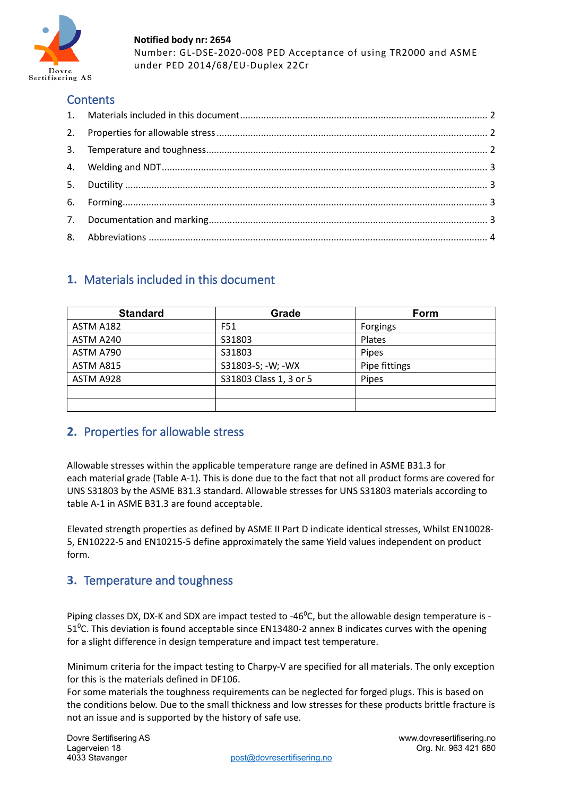

**Notified body nr: 2654** Number: GL-DSE-2020-008 PED Acceptance of using TR2000 and ASME under PED 2014/68/EU-Duplex 22Cr

## **Contents**

## <span id="page-1-0"></span>**1.** Materials included in this document

| <b>Standard</b> | Grade                  | Form          |
|-----------------|------------------------|---------------|
| ASTM A182       | F51                    | Forgings      |
| ASTM A240       | S31803                 | Plates        |
| ASTM A790       | S31803                 | Pipes         |
| ASTM A815       | S31803-S; -W; -WX      | Pipe fittings |
| ASTM A928       | S31803 Class 1, 3 or 5 | Pipes         |
|                 |                        |               |
|                 |                        |               |

## <span id="page-1-1"></span>**2.** Properties for allowable stress

Allowable stresses within the applicable temperature range are defined in ASME B31.3 for each material grade (Table A-1). This is done due to the fact that not all product forms are covered for UNS S31803 by the ASME B31.3 standard. Allowable stresses for UNS S31803 materials according to table A-1 in ASME B31.3 are found acceptable.

Elevated strength properties as defined by ASME II Part D indicate identical stresses, Whilst EN10028- 5, EN10222-5 and EN10215-5 define approximately the same Yield values independent on product form.

## <span id="page-1-2"></span>**3.** Temperature and toughness

Piping classes DX, DX-K and SDX are impact tested to -46<sup>0</sup>C, but the allowable design temperature is -51<sup>o</sup>C. This deviation is found acceptable since EN13480-2 annex B indicates curves with the opening for a slight difference in design temperature and impact test temperature.

Minimum criteria for the impact testing to Charpy-V are specified for all materials. The only exception for this is the materials defined in DF106.

For some materials the toughness requirements can be neglected for forged plugs. This is based on the conditions below. Due to the small thickness and low stresses for these products brittle fracture is not an issue and is supported by the history of safe use.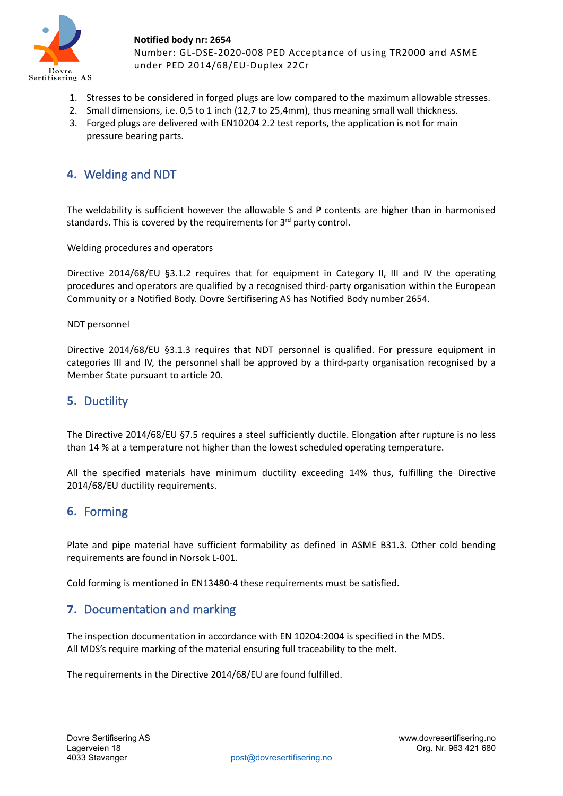

**Notified body nr: 2654** Number: GL-DSE-2020-008 PED Acceptance of using TR2000 and ASME under PED 2014/68/EU-Duplex 22Cr

- 1. Stresses to be considered in forged plugs are low compared to the maximum allowable stresses.
- 2. Small dimensions, i.e. 0,5 to 1 inch (12,7 to 25,4mm), thus meaning small wall thickness.
- 3. Forged plugs are delivered with EN10204 2.2 test reports, the application is not for main pressure bearing parts.

## <span id="page-2-0"></span>**4.** Welding and NDT

The weldability is sufficient however the allowable S and P contents are higher than in harmonised standards. This is covered by the requirements for 3<sup>rd</sup> party control.

Welding procedures and operators

Directive 2014/68/EU §3.1.2 requires that for equipment in Category II, III and IV the operating procedures and operators are qualified by a recognised third-party organisation within the European Community or a Notified Body. Dovre Sertifisering AS has Notified Body number 2654.

#### NDT personnel

Directive 2014/68/EU §3.1.3 requires that NDT personnel is qualified. For pressure equipment in categories III and IV, the personnel shall be approved by a third-party organisation recognised by a Member State pursuant to article 20.

### <span id="page-2-1"></span>**5.** Ductility

The Directive 2014/68/EU §7.5 requires a steel sufficiently ductile. Elongation after rupture is no less than 14 % at a temperature not higher than the lowest scheduled operating temperature.

All the specified materials have minimum ductility exceeding 14% thus, fulfilling the Directive 2014/68/EU ductility requirements.

### <span id="page-2-2"></span>**6.** Forming

Plate and pipe material have sufficient formability as defined in ASME B31.3. Other cold bending requirements are found in Norsok L-001.

<span id="page-2-3"></span>Cold forming is mentioned in EN13480-4 these requirements must be satisfied.

## **7.** Documentation and marking

The inspection documentation in accordance with EN 10204:2004 is specified in the MDS. All MDS's require marking of the material ensuring full traceability to the melt.

The requirements in the Directive 2014/68/EU are found fulfilled.